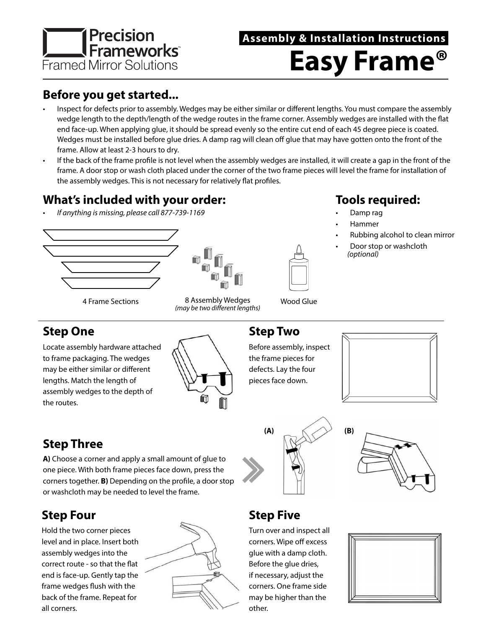

# **Easy Frame® Assembly & Installation Instructions**

### **Before you get started...**

- Inspect for defects prior to assembly. Wedges may be either similar or different lengths. You must compare the assembly wedge length to the depth/length of the wedge routes in the frame corner. Assembly wedges are installed with the flat end face-up. When applying glue, it should be spread evenly so the entire cut end of each 45 degree piece is coated. Wedges must be installed before glue dries. A damp rag will clean off glue that may have gotten onto the front of the frame. Allow at least 2-3 hours to dry.
- If the back of the frame profile is not level when the assembly wedges are installed, it will create a gap in the front of the frame. A door stop or wash cloth placed under the corner of the two frame pieces will level the frame for installation of the assembly wedges. This is not necessary for relatively flat profiles.

### **What's included with your order:**

*• If anything is missing, please call 877-739-1169*





*(may be two different lengths)*

**Tools required:**

- Damp rag
- Hammer
- Rubbing alcohol to clean mirror
- Door stop or washcloth *(optional)*

### **Step One**

Locate assembly hardware attached to frame packaging. The wedges may be either similar or different lengths. Match the length of assembly wedges to the depth of the routes.



### **Step Two**

Before assembly, inspect the frame pieces for defects. Lay the four pieces face down.







## **Step Five**

Turn over and inspect all corners. Wipe off excess glue with a damp cloth. Before the glue dries, if necessary, adjust the corners. One frame side may be higher than the other.



## **Step Three**

**A)** Choose a corner and apply a small amount of glue to one piece. With both frame pieces face down, press the corners together. **B)** Depending on the profile, a door stop or washcloth may be needed to level the frame.

## **Step Four**

Hold the two corner pieces level and in place. Insert both assembly wedges into the correct route - so that the flat end is face-up. Gently tap the frame wedges flush with the back of the frame. Repeat for all corners.